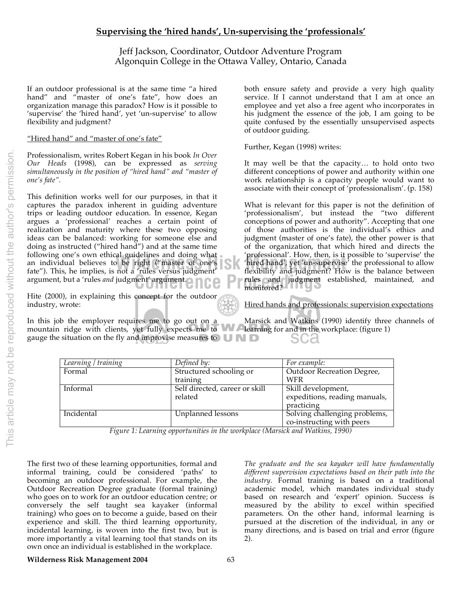# **Supervising the 'hired hands', Un-supervising the 'professionals'**

Jeff Jackson, Coordinator, Outdoor Adventure Program Algonquin College in the Ottawa Valley, Ontario, Canada

If an outdoor professional is at the same time "a hired hand" and "master of one's fate", how does an organization manage this paradox? How is it possible to 'supervise' the 'hired hand', yet 'un-supervise' to allow flexibility and judgment?

## "Hired hand" and "master of one's fate"

Professionalism, writes Robert Kegan in his book *In Over Our Heads* (1998), can be expressed as *serving simultaneously in the position of "hired hand" and "master of* 

following one's own ethical guidelines and doing what **following the management** of the individual believes to be right ("master of one's following hired hand', yet 'un-supervise<br>fate''). This, he implies, is not a 'rules This definition works well for our purposes, in that it captures the paradox inherent in guiding adventure trips or leading outdoor education. In essence, Kegan argues a 'professional' reaches a certain point of realization and maturity where these two opposing ideas can be balanced: working for someone else and doing as instructed ("hired hand") and at the same time an individual believes to be right ("master of one's fate"). This, he implies, is not a 'rules versus judgment' argument, but a 'rules *and* judgment' argument.

Hite (2000), in explaining this concept for the outdoor industry, wrote:

In this job the employer requires me to go out on a gauge the situation on the fly and improvise measures to  $\Box \Box$ 

both ensure safety and provide a very high quality service. If I cannot understand that I am at once an employee and yet also a free agent who incorporates in his judgment the essence of the job, I am going to be quite confused by the essentially unsupervised aspects of outdoor guiding.

Further, Kegan (1998) writes:

It may well be that the capacity… to hold onto two different conceptions of power and authority within one work relationship is a capacity people would want to associate with their concept of 'professionalism'. (p. 158)

rules and judgment established, maintained, and monitored? What is relevant for this paper is not the definition of 'professionalism', but instead the "two different conceptions of power and authority". Accepting that one of those authorities is the individual's ethics and judgment (master of one's fate), the other power is that of the organization, that which hired and directs the 'professional'. How, then, is it possible to 'supervise' the 'hired hand', yet 'un-supervise' the professional to allow flexibility and judgment? How is the balance between monitored?

Hired hands and professionals: supervision expectations

mountain ridge with clients, yet fully expects me to **WAT** learning for and in the workplace: (figure 1) Marsick and Watkins (1990) identify three channels of

| Learning / training | Defined by:                               | For example:                                                      |
|---------------------|-------------------------------------------|-------------------------------------------------------------------|
| Formal              | Structured schooling or                   | Outdoor Recreation Degree,                                        |
|                     | training                                  | WFR                                                               |
| Informal            | Self directed, career or skill<br>related | Skill development,<br>expeditions, reading manuals,<br>practicing |
| Incidental          | Unplanned lessons                         | Solving challenging problems,<br>co-instructing with peers        |

*Figure 1: Learning opportunities in the workplace (Marsick and Watkins, 1990)*

The first two of these learning opportunities, formal and informal training, could be considered 'paths' to becoming an outdoor professional. For example, the Outdoor Recreation Degree graduate (formal training) who goes on to work for an outdoor education centre; or conversely the self taught sea kayaker (informal training) who goes on to become a guide, based on their experience and skill. The third learning opportunity, incidental learning, is woven into the first two, but is more importantly a vital learning tool that stands on its own once an individual is established in the workplace.

*The graduate and the sea kayaker will have fundamentally different supervision expectations based on their path into the industry.* Formal training is based on a traditional academic model, which mandates individual study based on research and 'expert' opinion. Success is measured by the ability to excel within specified parameters. On the other hand, informal learning is pursued at the discretion of the individual, in any or many directions, and is based on trial and error (figure 2).

### **Wilderness Risk Management 2004** 63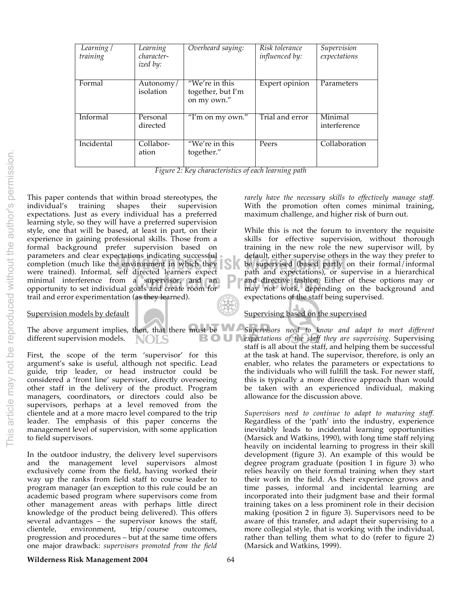| Learning <sub>l</sub><br>training | Learning<br>character-<br>ized by: | Overheard saying:                                  | Risk tolerance<br><i>influenced by:</i> | Supervision<br>expectations |
|-----------------------------------|------------------------------------|----------------------------------------------------|-----------------------------------------|-----------------------------|
| Formal                            | Autonomy/<br>isolation             | "We're in this<br>together, but I'm<br>on my own." | Expert opinion                          | Parameters                  |
| Informal                          | Personal<br>directed               | "I'm on my own."                                   | Trial and error                         | Minimal<br>interference     |
| Incidental                        | Collabor-<br>ation                 | "We're in this<br>together."                       | Peers                                   | Collaboration               |

*Figure 2: Key characteristics of each learning path*

minimal interference from a supervisor, and an **P** and directive fashion.<br>
opportunity to set individual goals and create room for may not work, depe This paper contends that within broad stereotypes, the individual's training shapes their supervision expectations. Just as every individual has a preferred learning style, so they will have a preferred supervision style, one that will be based, at least in part, on their experience in gaining professional skills. Those from a formal background prefer supervision based on parameters and clear expectations indicating successful completion (much like the environment in which they were trained). Informal, self directed learners expect opportunity to set individual goals and create room for trail and error experimentation (as they learned).

### Supervision models by default

The above argument implies, then, that there must be  $\bigcup_{n=1}^{\infty}$ different supervision models. NOLS

First, the scope of the term 'supervisor' for this argument's sake is useful, although not specific. Lead guide, trip leader, or head instructor could be considered a 'front line' supervisor, directly overseeing other staff in the delivery of the product. Program managers, coordinators, or directors could also be supervisors, perhaps at a level removed from the clientele and at a more macro level compared to the trip leader. The emphasis of this paper concerns the management level of supervision, with some application to field supervisors.

In the outdoor industry, the delivery level supervisors and the management level supervisors almost exclusively come from the field, having worked their way up the ranks from field staff to course leader to program manager (an exception to this rule could be an academic based program where supervisors come from other management areas with perhaps little direct knowledge of the product being delivered). This offers several advantages – the supervisor knows the staff, clientele, environment, trip/course outcomes, clientele, environment, trip/course outcomes, progression and procedures – but at the same time offers one major drawback: *supervisors promoted from the field* 

*rarely have the necessary skills to effectively manage staff.* With the promotion often comes minimal training, maximum challenge, and higher risk of burn out.

ectations indicating successful<br>
e environment in which they<br>
e supervised (based partly on their formal/informal<br>
self directed learners expect<br>
path and expectations) or supervise in a hierarchical While this is not the forum to inventory the requisite skills for effective supervision, without thorough training in the new role the new supervisor will, by default, either supervise others in the way they prefer to path and expectations), or supervise in a hierarchical and directive fashion. Either of these options may or may not work, depending on the background and expectations of the staff being supervised.

# Supervising based on the supervised

*Supervisors need to know and adapt to meet different expectations of the staff they are supervising.* Supervising staff is all about the staff, and helping them be successful at the task at hand. The supervisor, therefore, is only an enabler, who relates the parameters or expectations to the individuals who will fulfill the task. For newer staff, this is typically a more directive approach than would be taken with an experienced individual, making allowance for the discussion above.

*Supervisors need to continue to adapt to maturing staff.* Regardless of the 'path' into the industry, experience inevitably leads to incidental learning opportunities (Marsick and Watkins, 1990), with long time staff relying heavily on incidental learning to progress in their skill development (figure 3). An example of this would be degree program graduate (position 1 in figure 3) who relies heavily on their formal training when they start their work in the field. As their experience grows and time passes, informal and incidental learning are incorporated into their judgment base and their formal training takes on a less prominent role in their decision making (position 2 in figure 3). Supervisors need to be aware of this transfer, and adapt their supervising to a more collegial style, that is working with the individual, rather than telling them what to do (refer to figure 2) (Marsick and Watkins, 1999).

### **Wilderness Risk Management 2004** 64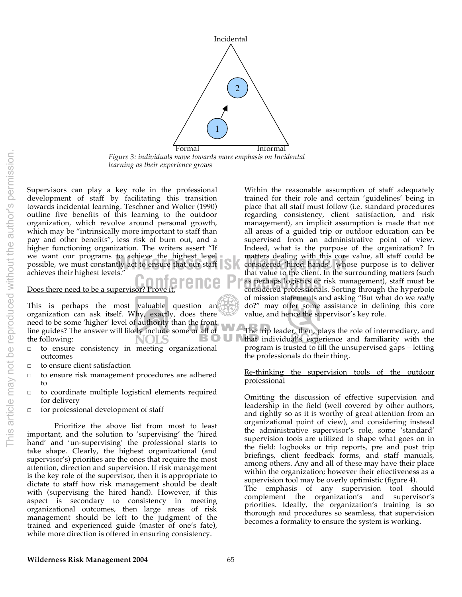

*Figure 3: individuals move towards more emphasis on Incidental learning as their experience grows*

we want our programs to achieve the highest level<br>
possible, we must constantly act to ensure that our staff<br>
achieves their highest levels"<br>
that value to the client. In the s Supervisors can play a key role in the professional development of staff by facilitating this transition towards incidental learning. Teschner and Wolter (1990) outline five benefits of this learning to the outdoor organization, which revolve around personal growth, which may be "intrinsically more important to staff than pay and other benefits", less risk of burn out, and a higher functioning organization. The writers assert "If we want our programs to achieve the highest level achieves their highest levels."

Does there need to be a supervisor?

This is perhaps the most valuable question an organization can ask itself. Why, exactly, does there need to be some 'higher' level of authority than the front line guides? The answer will likely include some or all of the following: the following: JLS

- □ to ensure consistency in meeting organizational outcomes
- □ to ensure client satisfaction
- to ensure risk management procedures are adhered to
- □ to coordinate multiple logistical elements required for delivery
- □ for professional development of staff

Prioritize the above list from most to least important, and the solution to 'supervising' the 'hired hand' and 'un-supervising' the professional starts to take shape. Clearly, the highest organizational (and supervisor's) priorities are the ones that require the most attention, direction and supervision. If risk management is the key role of the supervisor, then it is appropriate to dictate to staff how risk management should be dealt with (supervising the hired hand). However, if this aspect is secondary to consistency in meeting organizational outcomes, then large areas of risk management should be left to the judgment of the trained and experienced guide (master of one's fate), while more direction is offered in ensuring consistency.

**Conference Processing Section**<br>
Frove it. **Conference Professionals** Sorting through the hyperbole<br>
considered professionals. Sorting through the hyperbole Within the reasonable assumption of staff adequately trained for their role and certain 'guidelines' being in place that all staff must follow (i.e. standard procedures regarding consistency, client satisfaction, and risk management), an implicit assumption is made that not all areas of a guided trip or outdoor education can be supervised from an administrative point of view. Indeed, what is the purpose of the organization? In matters dealing with this core value, all staff could be considered 'hired hands', whose purpose is to deliver that value to the client. In the surrounding matters (such considered professionals. Sorting through the hyperbole of mission statements and asking "But what do we *really* do?" may offer some assistance in defining this core value, and hence the supervisor's key role.

> The trip leader, then, plays the role of intermediary, and that individual's experience and familiarity with the program is trusted to fill the unsupervised gaps – letting the professionals do their thing.

### Re-thinking the supervision tools of the outdoor professional

Omitting the discussion of effective supervision and leadership in the field (well covered by other authors, and rightly so as it is worthy of great attention from an organizational point of view), and considering instead the administrative supervisor's role, some 'standard' supervision tools are utilized to shape what goes on in the field: logbooks or trip reports, pre and post trip briefings, client feedback forms, and staff manuals, among others. Any and all of these may have their place within the organization; however their effectiveness as a supervision tool may be overly optimistic (figure 4).

The emphasis of any supervision tool should complement the organization's and supervisor's priorities. Ideally, the organization's training is so thorough and procedures so seamless, that supervision becomes a formality to ensure the system is working.